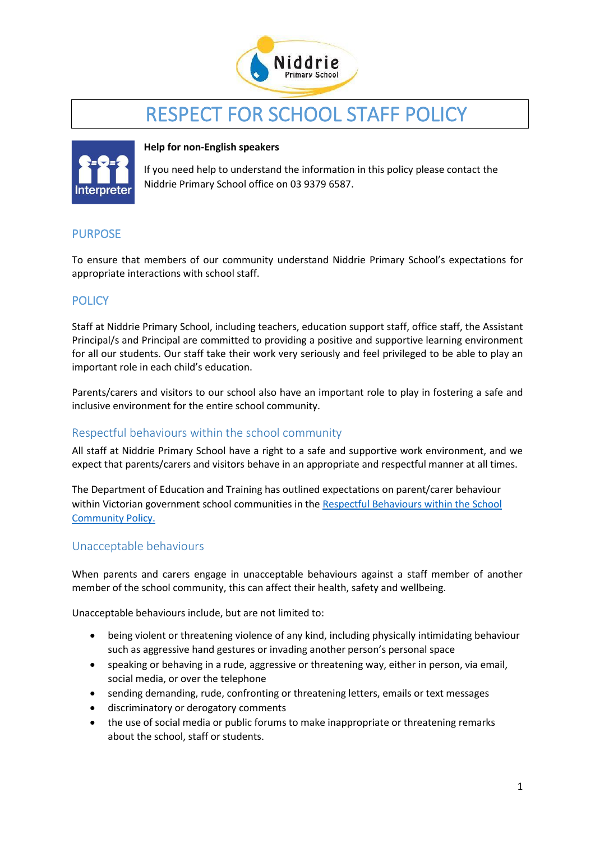

# RESPECT FOR SCHOOL STAFF POLICY



#### **Help for non-English speakers**

If you need help to understand the information in this policy please contact the Niddrie Primary School office on 03 9379 6587.

## PURPOSE

To ensure that members of our community understand Niddrie Primary School's expectations for appropriate interactions with school staff.

## **POLICY**

Staff at Niddrie Primary School, including teachers, education support staff, office staff, the Assistant Principal/s and Principal are committed to providing a positive and supportive learning environment for all our students. Our staff take their work very seriously and feel privileged to be able to play an important role in each child's education.

Parents/carers and visitors to our school also have an important role to play in fostering a safe and inclusive environment for the entire school community.

## Respectful behaviours within the school community

All staff at Niddrie Primary School have a right to a safe and supportive work environment, and we expect that parents/carers and visitors behave in an appropriate and respectful manner at all times.

The Department of Education and Training has outlined expectations on parent/carer behaviour within Victorian government school communities in the [Respectful Behaviours within the School](https://www.education.vic.gov.au/Pages/Respectful-Behaviours-within-the-School-Community-Policy.aspx)  [Community Policy.](https://www.education.vic.gov.au/Pages/Respectful-Behaviours-within-the-School-Community-Policy.aspx)

#### Unacceptable behaviours

When parents and carers engage in unacceptable behaviours against a staff member of another member of the school community, this can affect their health, safety and wellbeing.

Unacceptable behaviours include, but are not limited to:

- being violent or threatening violence of any kind, including physically intimidating behaviour such as aggressive hand gestures or invading another person's personal space
- speaking or behaving in a rude, aggressive or threatening way, either in person, via email, social media, or over the telephone
- sending demanding, rude, confronting or threatening letters, emails or text messages
- discriminatory or derogatory comments
- the use of social media or public forums to make inappropriate or threatening remarks about the school, staff or students.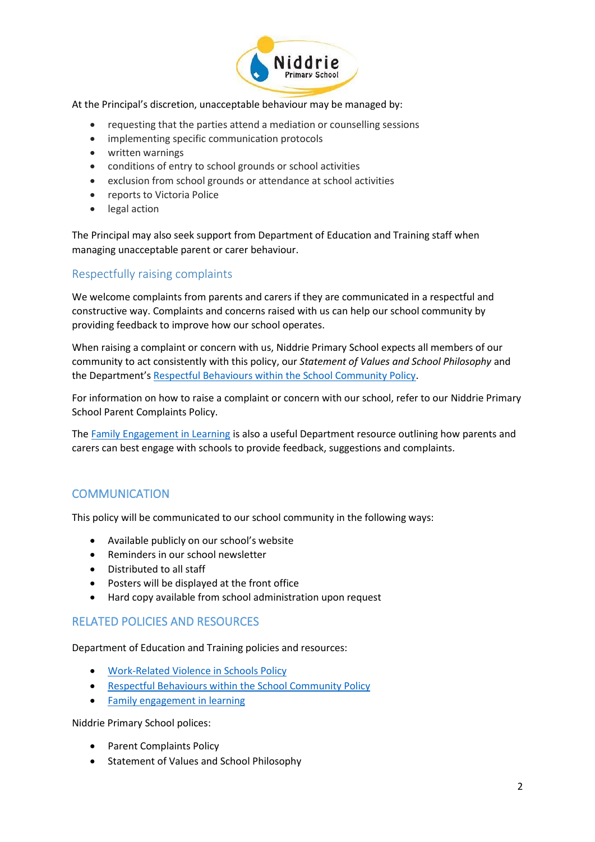

At the Principal's discretion, unacceptable behaviour may be managed by:

- requesting that the parties attend a mediation or counselling sessions
- implementing specific communication protocols
- written warnings
- conditions of entry to school grounds or school activities
- exclusion from school grounds or attendance at school activities
- reports to Victoria Police
- legal action

The Principal may also seek support from Department of Education and Training staff when managing unacceptable parent or carer behaviour.

## Respectfully raising complaints

We welcome complaints from parents and carers if they are communicated in a respectful and constructive way. Complaints and concerns raised with us can help our school community by providing feedback to improve how our school operates.

When raising a complaint or concern with us, Niddrie Primary School expects all members of our community to act consistently with this policy, our *Statement of Values and School Philosophy* and the Department's [Respectful Behaviours within the School Community Policy.](https://www.education.vic.gov.au/Pages/Respectful-Behaviours-within-the-School-Community-Policy.aspx)

For information on how to raise a complaint or concern with our school, refer to our Niddrie Primary School Parent Complaints Policy.

The [Family Engagement in Learning](https://www.education.vic.gov.au/PAL/family-engagement-in-learning.docx) is also a useful Department resource outlining how parents and carers can best engage with schools to provide feedback, suggestions and complaints.

## **COMMUNICATION**

This policy will be communicated to our school community in the following ways:

- Available publicly on our school's website
- Reminders in our school newsletter
- Distributed to all staff
- Posters will be displayed at the front office
- Hard copy available from school administration upon request

#### RELATED POLICIES AND RESOURCES

Department of Education and Training policies and resources:

- [Work-Related Violence in Schools](https://www2.education.vic.gov.au/pal/occupational-violence-and-aggression-schools/policy) Policy
- [Respectful Behaviours within the School Community Policy](https://www.education.vic.gov.au/Pages/Respectful-Behaviours-within-the-School-Community-Policy.aspx)
- [Family engagement in learning](https://www.education.vic.gov.au/PAL/family-engagement-in-learning.docx)

Niddrie Primary School polices:

- Parent Complaints Policy
- Statement of Values and School Philosophy